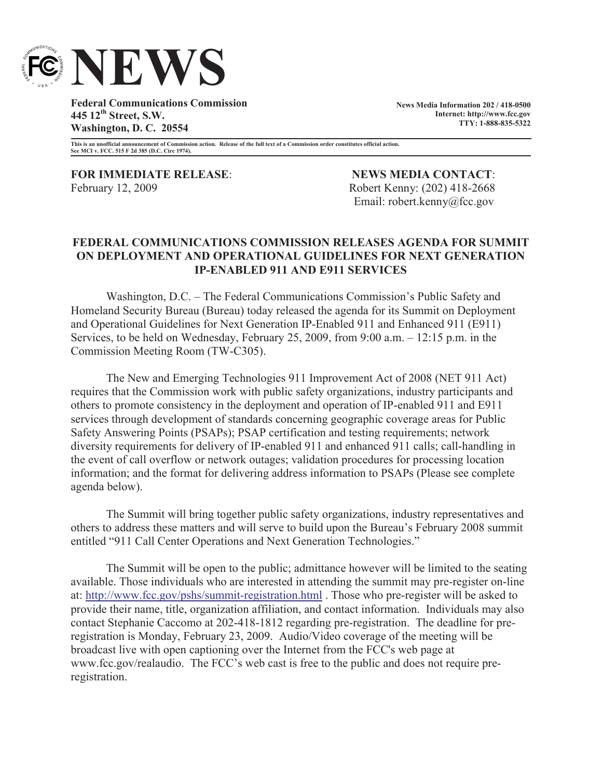

**Federal Communications Commission 445 12th Street, S.W. Washington, D. C. 20554**

**News Media Information 202 / 418-0500 Internet: http://www.fcc.gov TTY: 1-888-835-5322**

**This is an unofficial announcement of Commission action. Release of the full text of a Commission order constitutes official action. See MCI v. FCC. 515 F 2d 385 (D.C. Circ 1974).**

**FOR IMMEDIATE RELEASE**: **NEWS MEDIA CONTACT**: February 12, 2009 Robert Kenny: (202) 418-2668

Email: robert.kenny@fcc.gov

## **FEDERAL COMMUNICATIONS COMMISSION RELEASES AGENDA FOR SUMMIT ON DEPLOYMENT AND OPERATIONAL GUIDELINES FOR NEXT GENERATION IP-ENABLED 911 AND E911 SERVICES**

Washington, D.C. – The Federal Communications Commission's Public Safety and Homeland Security Bureau (Bureau) today released the agenda for its Summit on Deployment and Operational Guidelines for Next Generation IP-Enabled 911 and Enhanced 911 (E911) Services, to be held on Wednesday, February 25, 2009, from 9:00 a.m. – 12:15 p.m. in the Commission Meeting Room (TW-C305).

The New and Emerging Technologies 911 Improvement Act of 2008 (NET 911 Act) requires that the Commission work with public safety organizations, industry participants and others to promote consistency in the deployment and operation of IP-enabled 911 and E911 services through development of standards concerning geographic coverage areas for Public Safety Answering Points (PSAPs); PSAP certification and testing requirements; network diversity requirements for delivery of IP-enabled 911 and enhanced 911 calls; call-handling in the event of call overflow or network outages; validation procedures for processing location information; and the format for delivering address information to PSAPs (Please see complete agenda below).

The Summit will bring together public safety organizations, industry representatives and others to address these matters and will serve to build upon the Bureau's February 2008 summit entitled "911 Call Center Operations and Next Generation Technologies."

The Summit will be open to the public; admittance however will be limited to the seating available. Those individuals who are interested in attending the summit may pre-register on-line at: http://www.fcc.gov/pshs/summit-registration.html . Those who pre-register will be asked to provide their name, title, organization affiliation, and contact information. Individuals may also contact Stephanie Caccomo at 202-418-1812 regarding pre-registration. The deadline for preregistration is Monday, February 23, 2009. Audio/Video coverage of the meeting will be broadcast live with open captioning over the Internet from the FCC's web page at www.fcc.gov/realaudio. The FCC's web cast is free to the public and does not require preregistration.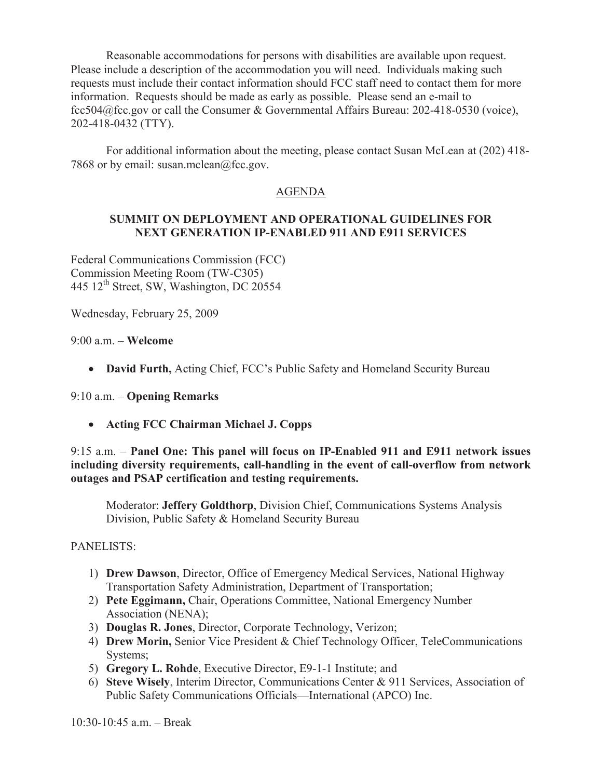Reasonable accommodations for persons with disabilities are available upon request. Please include a description of the accommodation you will need. Individuals making such requests must include their contact information should FCC staff need to contact them for more information. Requests should be made as early as possible. Please send an e-mail to fcc504@fcc.gov or call the Consumer & Governmental Affairs Bureau: 202-418-0530 (voice), 202-418-0432 (TTY).

For additional information about the meeting, please contact Susan McLean at (202) 418- 7868 or by email: susan.mclean $@$ fcc.gov.

# AGENDA

## **SUMMIT ON DEPLOYMENT AND OPERATIONAL GUIDELINES FOR NEXT GENERATION IP-ENABLED 911 AND E911 SERVICES**

Federal Communications Commission (FCC) Commission Meeting Room (TW-C305) 445 12th Street, SW, Washington, DC 20554

Wednesday, February 25, 2009

9:00 a.m. – **Welcome** 

· **David Furth,** Acting Chief, FCC's Public Safety and Homeland Security Bureau

### 9:10 a.m. – **Opening Remarks**

· **Acting FCC Chairman Michael J. Copps**

9:15 a.m. – **Panel One: This panel will focus on IP-Enabled 911 and E911 network issues including diversity requirements, call-handling in the event of call-overflow from network outages and PSAP certification and testing requirements.**

Moderator: **Jeffery Goldthorp**, Division Chief, Communications Systems Analysis Division, Public Safety & Homeland Security Bureau

PANELISTS:

- 1) **Drew Dawson**, Director, Office of Emergency Medical Services, National Highway Transportation Safety Administration, Department of Transportation;
- 2) **Pete Eggimann,** Chair, Operations Committee, National Emergency Number Association (NENA);
- 3) **Douglas R. Jones**, Director, Corporate Technology, Verizon;
- 4) **Drew Morin,** Senior Vice President & Chief Technology Officer, TeleCommunications Systems;
- 5) **Gregory L. Rohde**, Executive Director, E9-1-1 Institute; and
- 6) **Steve Wisely**, Interim Director, Communications Center & 911 Services, Association of Public Safety Communications Officials—International (APCO) Inc.

 $10.30 - 10.45$  a.m. – Break